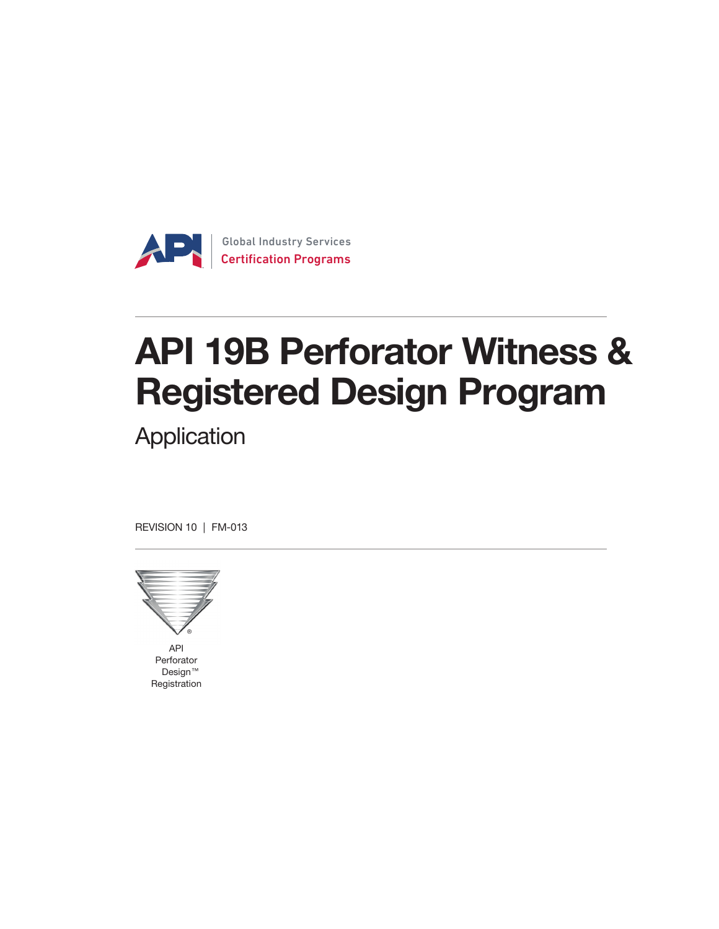

# API 19B Perforator Witness & Registered Design Program

**Application** 

REVISION 10 | FM-013



API Perforator Design ™ Registration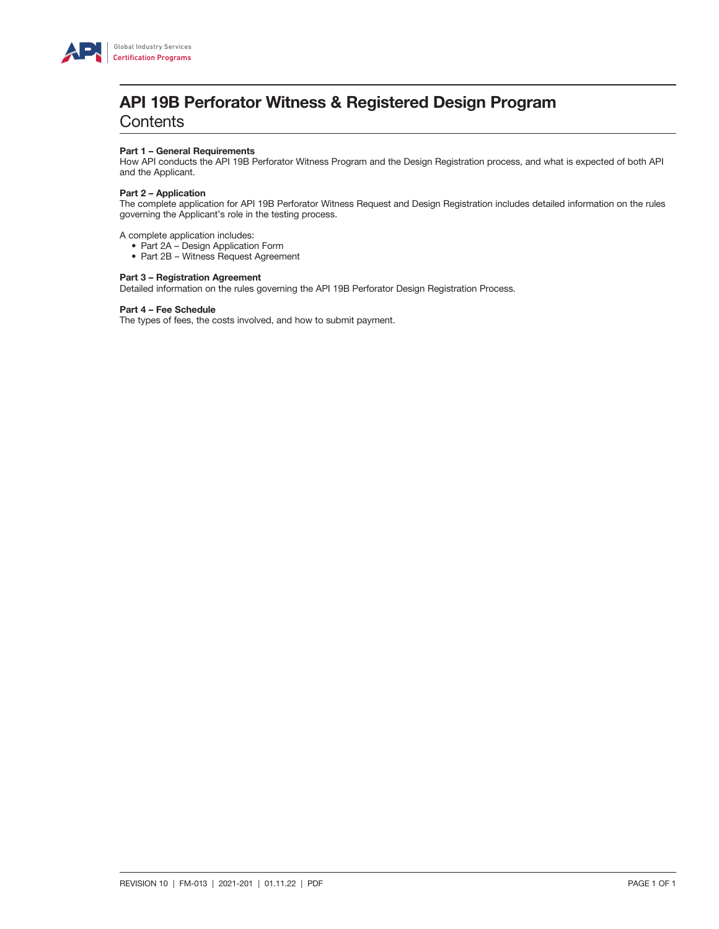

# API 19B Perforator Witness & Registered Design Program

**Contents** 

### Part 1 – General Requirements

How API conducts the API 19B Perforator Witness Program and the Design Registration process, and what is expected of both API and the Applicant.

### Part 2 – Application

The complete application for API 19B Perforator Witness Request and Design Registration includes detailed information on the rules governing the Applicant's role in the testing process.

A complete application includes:

- Part 2A Design Application Form
- Part 2B Witness Request Agreement

### Part 3 – Registration Agreement

Detailed information on the rules governing the API 19B Perforator Design Registration Process.

### Part 4 – Fee Schedule

The types of fees, the costs involved, and how to submit payment.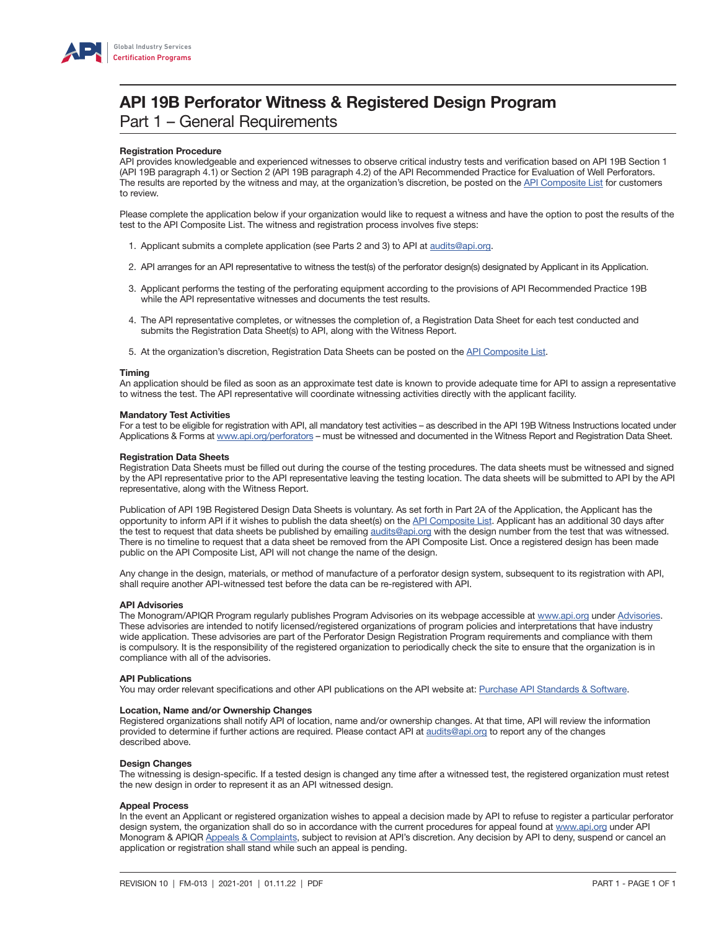

# API 19B Perforator Witness & Registered Design Program Part 1 – General Requirements

### Registration Procedure

API provides knowledgeable and experienced witnesses to observe critical industry tests and verification based on API 19B Section 1 (API 19B paragraph 4.1) or Section 2 (API 19B paragraph 4.2) of the API Recommended Practice for Evaluation of Well Perforators. The results are reported by the witness and may, at the organization's discretion, be posted on the [API Composite List](https://mycerts.api.org/Search/CompositeSearch) for customers to review.

Please complete the application below if your organization would like to request a witness and have the option to post the results of the test to the API Composite List. The witness and registration process involves five steps:

- 1. Applicant submits a complete application (see Parts 2 and 3) to API at [audits@api.org](mailto:audits%40api.org?subject=).
- 2. API arranges for an API representative to witness the test(s) of the perforator design(s) designated by Applicant in its Application.
- 3. Applicant performs the testing of the perforating equipment according to the provisions of API Recommended Practice 19B while the API representative witnesses and documents the test results.
- 4. The API representative completes, or witnesses the completion of, a Registration Data Sheet for each test conducted and submits the Registration Data Sheet(s) to API, along with the Witness Report.
- 5. At the organization's discretion, Registration Data Sheets can be posted on the [API Composite List.](https://mycerts.api.org/Search/CompositeSearch)

#### Timing

An application should be filed as soon as an approximate test date is known to provide adequate time for API to assign a representative to witness the test. The API representative will coordinate witnessing activities directly with the applicant facility.

#### Mandatory Test Activities

For a test to be eligible for registration with API, all mandatory test activities – as described in the API 19B Witness Instructions located under Applications & Forms at [www.api.org/perforators](http://www.api.org/perforators) – must be witnessed and documented in the Witness Report and Registration Data Sheet.

#### Registration Data Sheets

Registration Data Sheets must be filled out during the course of the testing procedures. The data sheets must be witnessed and signed by the API representative prior to the API representative leaving the testing location. The data sheets will be submitted to API by the API representative, along with the Witness Report.

Publication of API 19B Registered Design Data Sheets is voluntary. As set forth in Part 2A of the Application, the Applicant has the opportunity to inform API if it wishes to publish the data sheet(s) on the [API Composite List.](https://mycerts.api.org/Search/CompositeSearch) Applicant has an additional 30 days after the test to request that data sheets be published by emailing [audits@api.org](mailto:audits%40api.org?subject=) with the design number from the test that was witnessed. There is no timeline to request that a data sheet be removed from the API Composite List. Once a registered design has been made public on the API Composite List, API will not change the name of the design.

Any change in the design, materials, or method of manufacture of a perforator design system, subsequent to its registration with API, shall require another API-witnessed test before the data can be re-registered with API.

### API Advisories

The Monogram/APIQR Program regularly publishes Program Advisories on its webpage accessible at [www.api.org](http://www.api.org) under [Advisories](http://www.api.org/products-and-services/api-monogram-and-apiqr/advisories-updates#tab-advisories). These advisories are intended to notify licensed/registered organizations of program policies and interpretations that have industry wide application. These advisories are part of the Perforator Design Registration Program requirements and compliance with them is compulsory. It is the responsibility of the registered organization to periodically check the site to ensure that the organization is in compliance with all of the advisories.

### API Publications

You may order relevant specifications and other API publications on the API website at: [Purchase API Standards & Software.](http://www.api.org/products-and-services/standards/purchase)

### Location, Name and/or Ownership Changes

Registered organizations shall notify API of location, name and/or ownership changes. At that time, API will review the information provided to determine if further actions are required. Please contact API at [audits@api.org](mailto:audits%40api.org?subject=) to report any of the changes described above.

### Design Changes

The witnessing is design-specific. If a tested design is changed any time after a witnessed test, the registered organization must retest the new design in order to represent it as an API witnessed design.

### Appeal Process

In the event an Applicant or registered organization wishes to appeal a decision made by API to refuse to register a particular perforator design system, the organization shall do so in accordance with the current procedures for appeal found at [www.api.org](http://www.api.org) under API Monogram & APIQR [Appeals & Complaints](http://www.api.org/products-and-services/api-monogram-and-apiqr/contact#tab-appeals-complaints), subject to revision at API's discretion. Any decision by API to deny, suspend or cancel an application or registration shall stand while such an appeal is pending.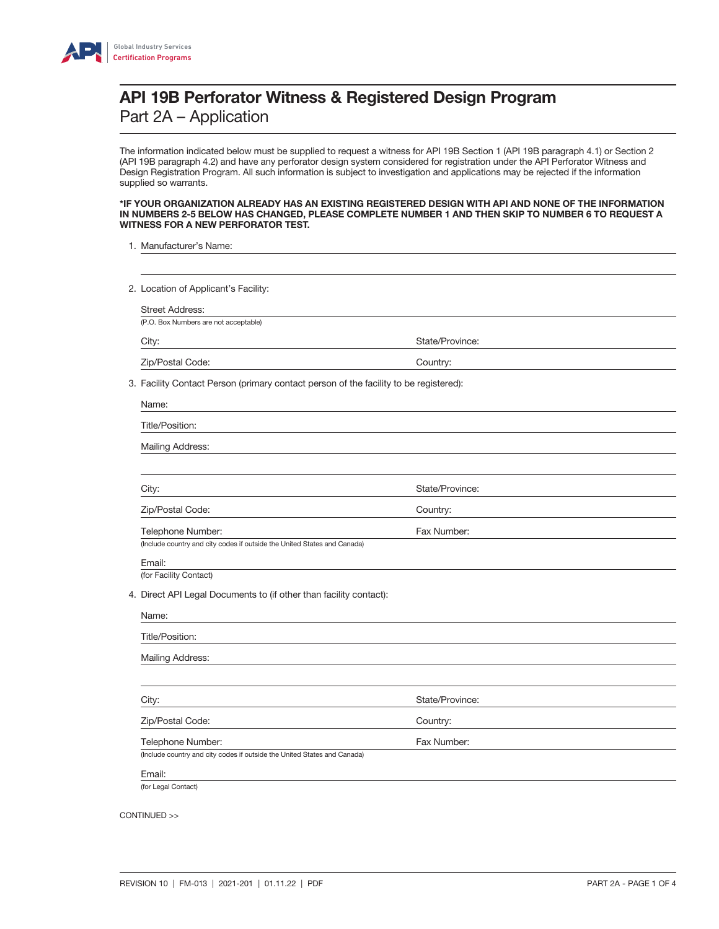

The information indicated below must be supplied to request a witness for API 19B Section 1 (API 19B paragraph 4.1) or Section 2 (API 19B paragraph 4.2) and have any perforator design system considered for registration under the API Perforator Witness and Design Registration Program. All such information is subject to investigation and applications may be rejected if the information supplied so warrants.

### \*IF YOUR ORGANIZATION ALREADY HAS AN EXISTING REGISTERED DESIGN WITH API AND NONE OF THE INFORMATION IN NUMBERS 2-5 BELOW HAS CHANGED, PLEASE COMPLETE NUMBER 1 AND THEN SKIP TO NUMBER 6 TO REQUEST A WITNESS FOR A NEW PERFORATOR TEST.

- 1. Manufacturer's Name:
- 2. Location of Applicant's Facility:

Street Address:

(P.O. Box Numbers are not acceptable)

City: City: State/Province: State/Province: State/Province: State/Province: State/Province: State/Province: State/Province: State/Province: State/Province: State/Province: State/Province: State/Province: State/Province: St

Zip/Postal Code: Country:

3. Facility Contact Person (primary contact person of the facility to be registered):

| Title/Position:                                                          |                 |  |
|--------------------------------------------------------------------------|-----------------|--|
| Mailing Address:                                                         |                 |  |
|                                                                          |                 |  |
| City:                                                                    | State/Province: |  |
| Zip/Postal Code:                                                         | Country:        |  |
| Telephone Number:                                                        | Fax Number:     |  |
| (Include country and city codes if outside the United States and Canada) |                 |  |

 (for Facility Contact) 4. Direct API Legal Documents to (if other than facility contact):

| Title/Position:   |                 |  |
|-------------------|-----------------|--|
| Mailing Address:  |                 |  |
|                   |                 |  |
| City:             | State/Province: |  |
| Zip/Postal Code:  | Country:        |  |
| Telephone Number: | Fax Number:     |  |

(for Legal Contact)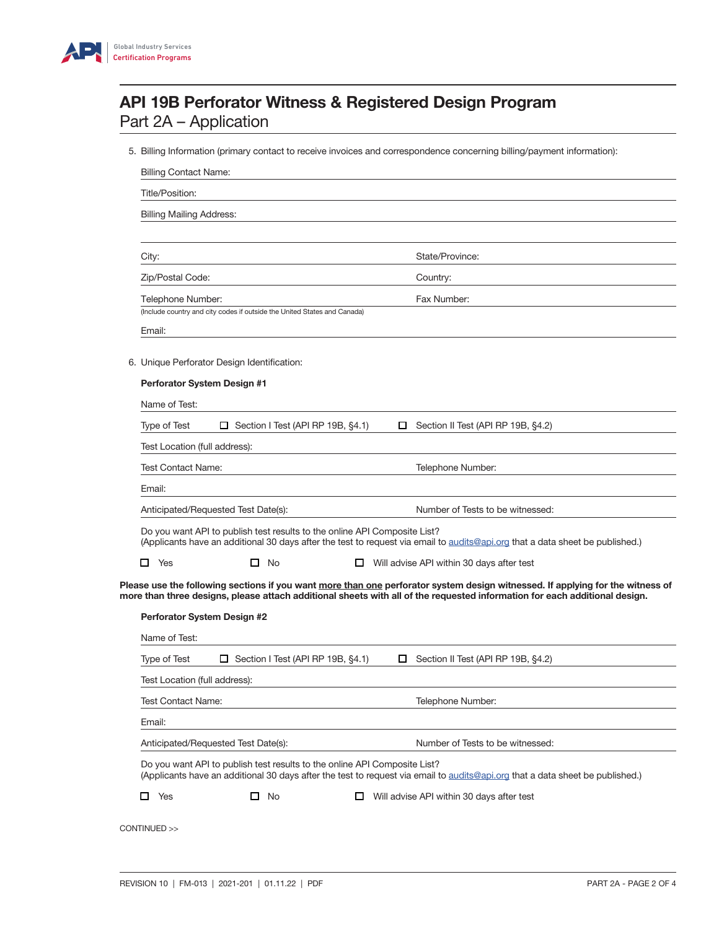

5. Billing Information (primary contact to receive invoices and correspondence concerning billing/payment information):

| Title/Position:                              |                                                                          |                                                                                                                                                                                                                                                              |  |
|----------------------------------------------|--------------------------------------------------------------------------|--------------------------------------------------------------------------------------------------------------------------------------------------------------------------------------------------------------------------------------------------------------|--|
| <b>Billing Mailing Address:</b>              |                                                                          |                                                                                                                                                                                                                                                              |  |
| City:                                        |                                                                          | State/Province:                                                                                                                                                                                                                                              |  |
| Zip/Postal Code:                             |                                                                          | Country:                                                                                                                                                                                                                                                     |  |
| Telephone Number:                            |                                                                          | Fax Number:                                                                                                                                                                                                                                                  |  |
| Email:                                       | (Include country and city codes if outside the United States and Canada) |                                                                                                                                                                                                                                                              |  |
|                                              | 6. Unique Perforator Design Identification:                              |                                                                                                                                                                                                                                                              |  |
| Perforator System Design #1                  |                                                                          |                                                                                                                                                                                                                                                              |  |
| Name of Test:                                |                                                                          |                                                                                                                                                                                                                                                              |  |
| Type of Test                                 | Section I Test (API RP 19B, §4.1)<br>□.                                  | Section II Test (API RP 19B, §4.2)<br>□                                                                                                                                                                                                                      |  |
| Test Location (full address):                |                                                                          |                                                                                                                                                                                                                                                              |  |
| <b>Test Contact Name:</b>                    |                                                                          | Telephone Number:                                                                                                                                                                                                                                            |  |
| Email:                                       |                                                                          |                                                                                                                                                                                                                                                              |  |
|                                              | Anticipated/Requested Test Date(s):                                      | Number of Tests to be witnessed:                                                                                                                                                                                                                             |  |
|                                              |                                                                          | Do you want API to publish test results to the online API Composite List?<br>(Applicants have an additional 30 days after the test to request via email to audits@api.org that a data sheet be published.)                                                   |  |
|                                              |                                                                          |                                                                                                                                                                                                                                                              |  |
| 0<br>Yes                                     | $\Box$ No                                                                | □<br>Will advise API within 30 days after test                                                                                                                                                                                                               |  |
| Perforator System Design #2<br>Name of Test: |                                                                          | Please use the following sections if you want more than one perforator system design witnessed. If applying for the witness of<br>more than three designs, please attach additional sheets with all of the requested information for each additional design. |  |
| <b>Type of Test</b>                          | $\Box$ Section I Test (API RP 19B, §4.1)                                 | Section II Test (API RP 19B, §4.2)<br>$\Box$                                                                                                                                                                                                                 |  |
| Test Location (full address):                |                                                                          |                                                                                                                                                                                                                                                              |  |
| <b>Test Contact Name:</b>                    |                                                                          | Telephone Number:                                                                                                                                                                                                                                            |  |
| Email:                                       |                                                                          |                                                                                                                                                                                                                                                              |  |
|                                              | Anticipated/Requested Test Date(s):                                      | Number of Tests to be witnessed:                                                                                                                                                                                                                             |  |
|                                              |                                                                          | Do you want API to publish test results to the online API Composite List?<br>(Applicants have an additional 30 days after the test to request via email to audits@api.org that a data sheet be published.)                                                   |  |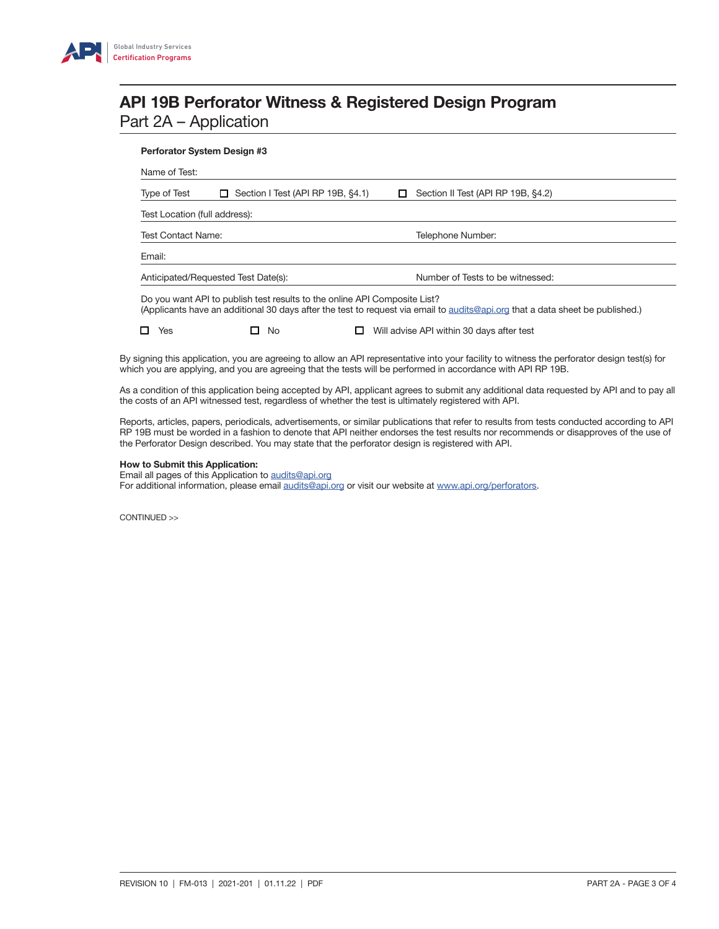

### Perforator System Design #3

Name of Test: Type of Test  $\square$  Section I Test (API RP 19B, §4.1)  $\square$  Section II Test (API RP 19B, §4.2) Test Location (full address): Test Contact Name: Telephone Number: Email: Anticipated/Requested Test Date(s): Number of Tests to be witnessed: Do you want API to publish test results to the online API Composite List? (Applicants have an additional 30 days after the test to request via email to [audits@api.org](mailto:audits%40api.org?subject=) that a data sheet be published.)  $\Box$  Yes  $\Box$  No  $\Box$  Will advise API within 30 days after test

By signing this application, you are agreeing to allow an API representative into your facility to witness the perforator design test(s) for which you are applying, and you are agreeing that the tests will be performed in accordance with API RP 19B.

As a condition of this application being accepted by API, applicant agrees to submit any additional data requested by API and to pay all the costs of an API witnessed test, regardless of whether the test is ultimately registered with API.

Reports, articles, papers, periodicals, advertisements, or similar publications that refer to results from tests conducted according to API RP 19B must be worded in a fashion to denote that API neither endorses the test results nor recommends or disapproves of the use of the Perforator Design described. You may state that the perforator design is registered with API.

### How to Submit this Application:

Email all pages of this Application to [audits@api.org](mailto:audits%40api.org?subject=)

For additional information, please email [audits@api.org](mailto:audits%40api.org?subject=) or visit our website at [www.api.org/perforators](http://www.api.org/products-and-services/witnessing-programs/perforators).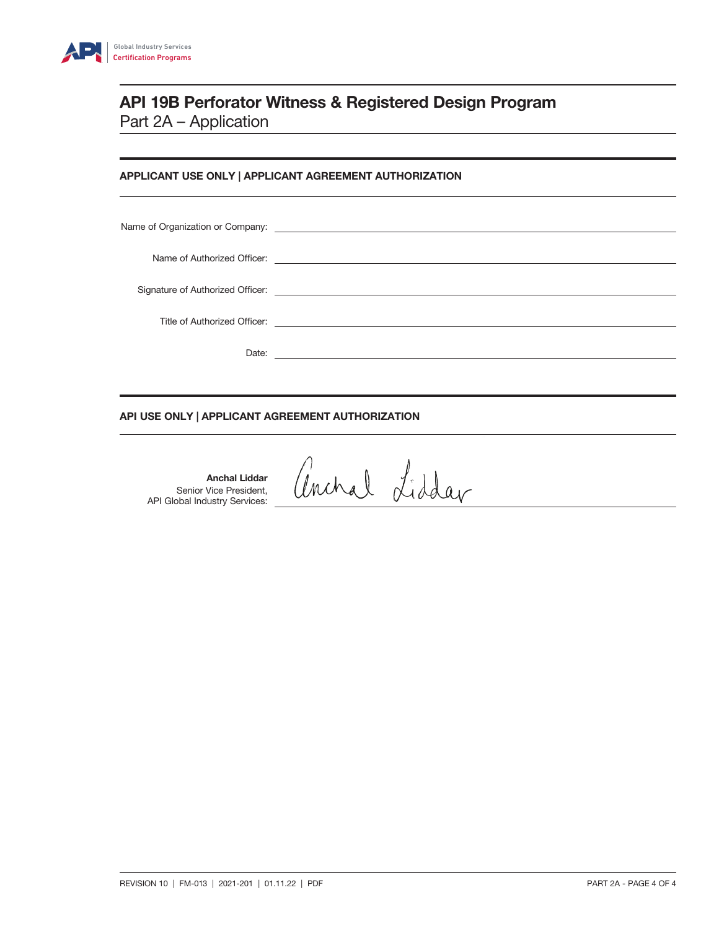

# APPLICANT USE ONLY | APPLICANT AGREEMENT AUTHORIZATION

## API USE ONLY | APPLICANT AGREEMENT AUTHORIZATION

Anchal Liddar Senior Vice President, API Global Industry Services:

anchal Liddar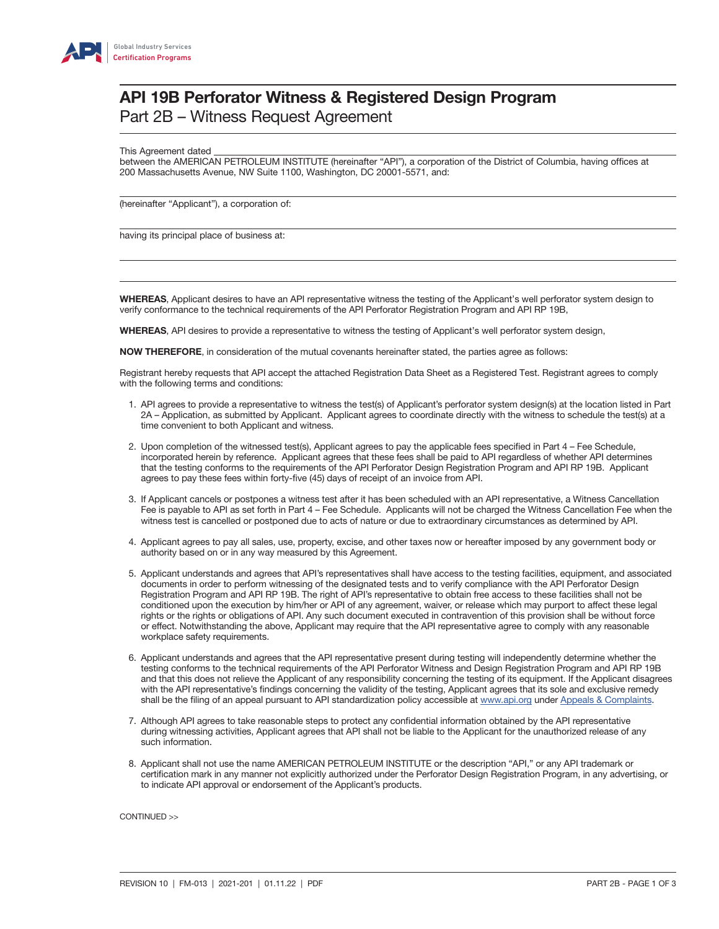

# API 19B Perforator Witness & Registered Design Program

Part 2B – Witness Request Agreement

This Agreement dated

between the AMERICAN PETROLEUM INSTITUTE (hereinafter "API"), a corporation of the District of Columbia, having offices at 200 Massachusetts Avenue, NW Suite 1100, Washington, DC 20001-5571, and:

(hereinafter "Applicant"), a corporation of:

having its principal place of business at:

WHEREAS, Applicant desires to have an API representative witness the testing of the Applicant's well perforator system design to verify conformance to the technical requirements of the API Perforator Registration Program and API RP 19B,

WHEREAS, API desires to provide a representative to witness the testing of Applicant's well perforator system design,

**NOW THEREFORE**, in consideration of the mutual covenants hereinafter stated, the parties agree as follows:

Registrant hereby requests that API accept the attached Registration Data Sheet as a Registered Test. Registrant agrees to comply with the following terms and conditions:

- 1. API agrees to provide a representative to witness the test(s) of Applicant's perforator system design(s) at the location listed in Part 2A – Application, as submitted by Applicant. Applicant agrees to coordinate directly with the witness to schedule the test(s) at a time convenient to both Applicant and witness.
- 2. Upon completion of the witnessed test(s), Applicant agrees to pay the applicable fees specified in Part 4 Fee Schedule, incorporated herein by reference. Applicant agrees that these fees shall be paid to API regardless of whether API determines that the testing conforms to the requirements of the API Perforator Design Registration Program and API RP 19B. Applicant agrees to pay these fees within forty-five (45) days of receipt of an invoice from API.
- 3. If Applicant cancels or postpones a witness test after it has been scheduled with an API representative, a Witness Cancellation Fee is payable to API as set forth in Part 4 – Fee Schedule. Applicants will not be charged the Witness Cancellation Fee when the witness test is cancelled or postponed due to acts of nature or due to extraordinary circumstances as determined by API.
- 4. Applicant agrees to pay all sales, use, property, excise, and other taxes now or hereafter imposed by any government body or authority based on or in any way measured by this Agreement.
- 5. Applicant understands and agrees that API's representatives shall have access to the testing facilities, equipment, and associated documents in order to perform witnessing of the designated tests and to verify compliance with the API Perforator Design Registration Program and API RP 19B. The right of API's representative to obtain free access to these facilities shall not be conditioned upon the execution by him/her or API of any agreement, waiver, or release which may purport to affect these legal rights or the rights or obligations of API. Any such document executed in contravention of this provision shall be without force or effect. Notwithstanding the above, Applicant may require that the API representative agree to comply with any reasonable workplace safety requirements.
- 6. Applicant understands and agrees that the API representative present during testing will independently determine whether the testing conforms to the technical requirements of the API Perforator Witness and Design Registration Program and API RP 19B and that this does not relieve the Applicant of any responsibility concerning the testing of its equipment. If the Applicant disagrees with the API representative's findings concerning the validity of the testing, Applicant agrees that its sole and exclusive remedy shall be the filing of an appeal pursuant to API standardization policy accessible at [www.api.org](http://www.api.org) under [Appeals & Complaints](http://www.api.org/products-and-services/api-monogram-and-apiqr/contact#tab-appeals-complaints).
- 7. Although API agrees to take reasonable steps to protect any confidential information obtained by the API representative during witnessing activities, Applicant agrees that API shall not be liable to the Applicant for the unauthorized release of any such information.
- 8. Applicant shall not use the name AMERICAN PETROLEUM INSTITUTE or the description "API," or any API trademark or certification mark in any manner not explicitly authorized under the Perforator Design Registration Program, in any advertising, or to indicate API approval or endorsement of the Applicant's products.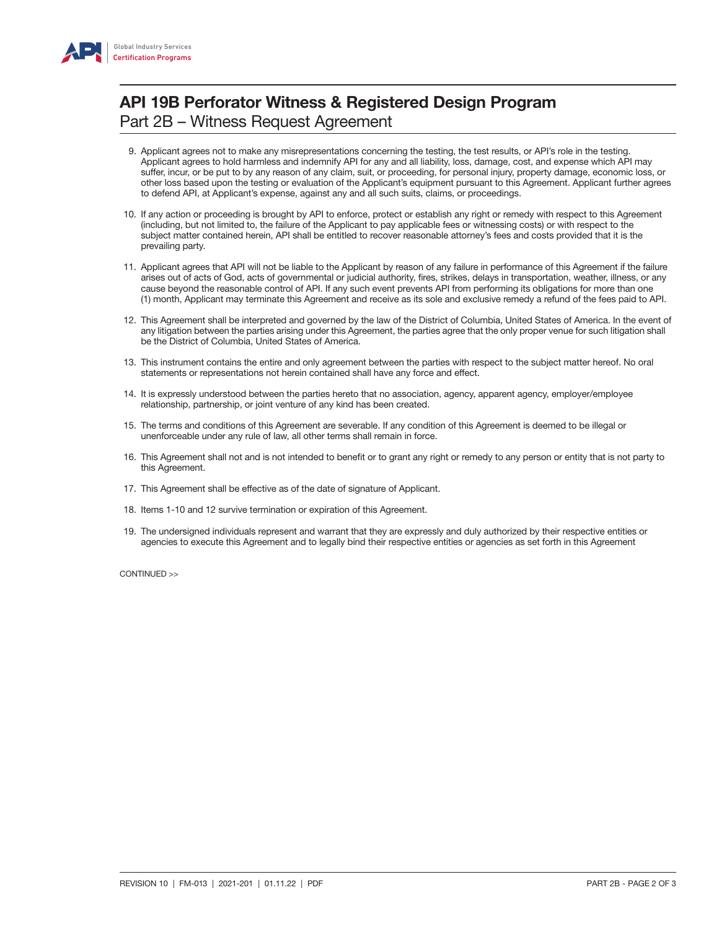

# API 19B Perforator Witness & Registered Design Program Part 2B – Witness Request Agreement

- 9. Applicant agrees not to make any misrepresentations concerning the testing, the test results, or API's role in the testing. Applicant agrees to hold harmless and indemnify API for any and all liability, loss, damage, cost, and expense which API may suffer, incur, or be put to by any reason of any claim, suit, or proceeding, for personal injury, property damage, economic loss, or other loss based upon the testing or evaluation of the Applicant's equipment pursuant to this Agreement. Applicant further agrees to defend API, at Applicant's expense, against any and all such suits, claims, or proceedings.
- 10. If any action or proceeding is brought by API to enforce, protect or establish any right or remedy with respect to this Agreement (including, but not limited to, the failure of the Applicant to pay applicable fees or witnessing costs) or with respect to the subject matter contained herein, API shall be entitled to recover reasonable attorney's fees and costs provided that it is the prevailing party.
- 11. Applicant agrees that API will not be liable to the Applicant by reason of any failure in performance of this Agreement if the failure arises out of acts of God, acts of governmental or judicial authority, fires, strikes, delays in transportation, weather, illness, or any cause beyond the reasonable control of API. If any such event prevents API from performing its obligations for more than one (1) month, Applicant may terminate this Agreement and receive as its sole and exclusive remedy a refund of the fees paid to API.
- 12. This Agreement shall be interpreted and governed by the law of the District of Columbia, United States of America. In the event of any litigation between the parties arising under this Agreement, the parties agree that the only proper venue for such litigation shall be the District of Columbia, United States of America.
- 13. This instrument contains the entire and only agreement between the parties with respect to the subject matter hereof. No oral statements or representations not herein contained shall have any force and effect.
- 14. It is expressly understood between the parties hereto that no association, agency, apparent agency, employer/employee relationship, partnership, or joint venture of any kind has been created.
- 15. The terms and conditions of this Agreement are severable. If any condition of this Agreement is deemed to be illegal or unenforceable under any rule of law, all other terms shall remain in force.
- 16. This Agreement shall not and is not intended to benefit or to grant any right or remedy to any person or entity that is not party to this Agreement.
- 17. This Agreement shall be effective as of the date of signature of Applicant.
- 18. Items 1-10 and 12 survive termination or expiration of this Agreement.
- 19. The undersigned individuals represent and warrant that they are expressly and duly authorized by their respective entities or agencies to execute this Agreement and to legally bind their respective entities or agencies as set forth in this Agreement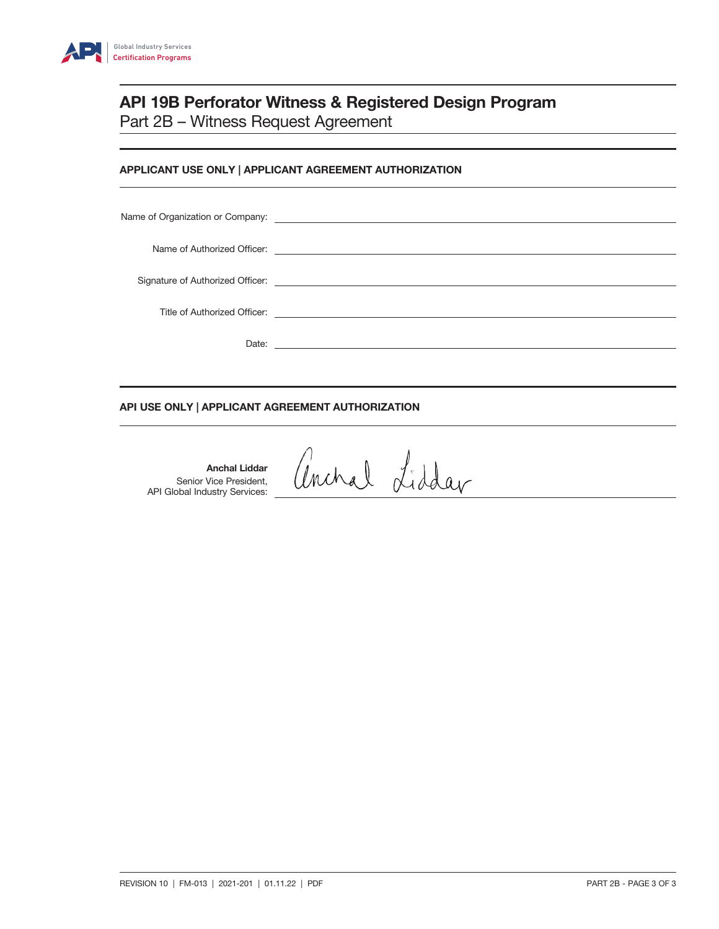

# API 19B Perforator Witness & Registered Design Program Part 2B – Witness Request Agreement

# APPLICANT USE ONLY | APPLICANT AGREEMENT AUTHORIZATION

| Date: | the control of the control of the control of the control of the control of the control of the control of the control of the control of the control of the control of the control of the control of the control of the control |
|-------|-------------------------------------------------------------------------------------------------------------------------------------------------------------------------------------------------------------------------------|

# API USE ONLY | APPLICANT AGREEMENT AUTHORIZATION

Anchal Liddar Senior Vice President, API Global Industry Services:

anchal Lidday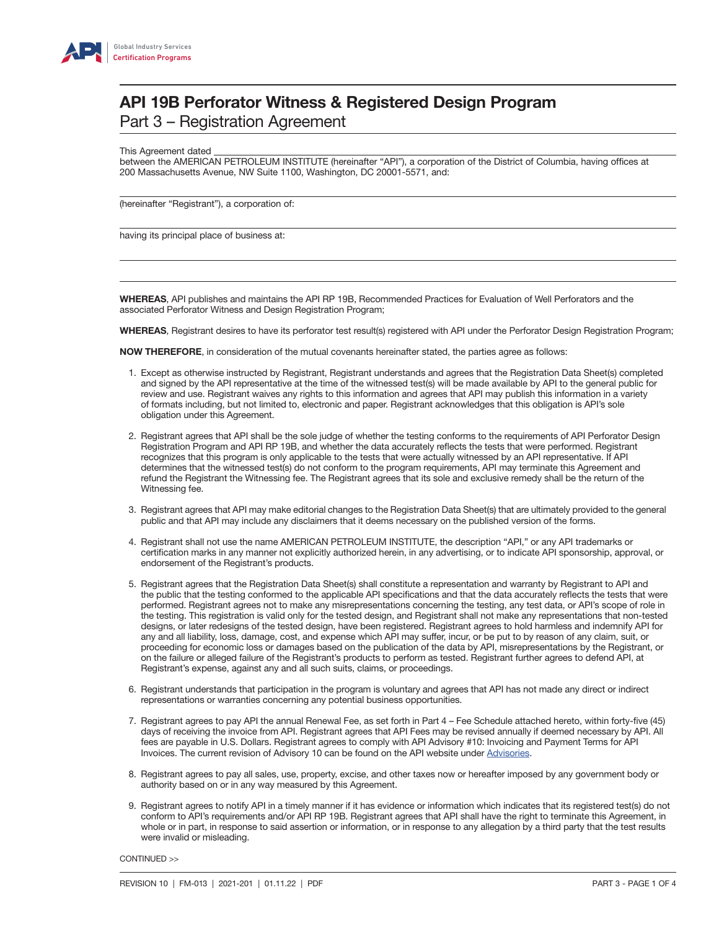

This Agreement dated

between the AMERICAN PETROLEUM INSTITUTE (hereinafter "API"), a corporation of the District of Columbia, having offices at 200 Massachusetts Avenue, NW Suite 1100, Washington, DC 20001-5571, and:

(hereinafter "Registrant"), a corporation of:

having its principal place of business at:

WHEREAS, API publishes and maintains the API RP 19B, Recommended Practices for Evaluation of Well Perforators and the associated Perforator Witness and Design Registration Program;

WHEREAS, Registrant desires to have its perforator test result(s) registered with API under the Perforator Design Registration Program;

**NOW THEREFORE**, in consideration of the mutual covenants hereinafter stated, the parties agree as follows:

- 1. Except as otherwise instructed by Registrant, Registrant understands and agrees that the Registration Data Sheet(s) completed and signed by the API representative at the time of the witnessed test(s) will be made available by API to the general public for review and use. Registrant waives any rights to this information and agrees that API may publish this information in a variety of formats including, but not limited to, electronic and paper. Registrant acknowledges that this obligation is API's sole obligation under this Agreement.
- 2. Registrant agrees that API shall be the sole judge of whether the testing conforms to the requirements of API Perforator Design Registration Program and API RP 19B, and whether the data accurately reflects the tests that were performed. Registrant recognizes that this program is only applicable to the tests that were actually witnessed by an API representative. If API determines that the witnessed test(s) do not conform to the program requirements, API may terminate this Agreement and refund the Registrant the Witnessing fee. The Registrant agrees that its sole and exclusive remedy shall be the return of the Witnessing fee.
- 3. Registrant agrees that API may make editorial changes to the Registration Data Sheet(s) that are ultimately provided to the general public and that API may include any disclaimers that it deems necessary on the published version of the forms.
- 4. Registrant shall not use the name AMERICAN PETROLEUM INSTITUTE, the description "API," or any API trademarks or certification marks in any manner not explicitly authorized herein, in any advertising, or to indicate API sponsorship, approval, or endorsement of the Registrant's products.
- 5. Registrant agrees that the Registration Data Sheet(s) shall constitute a representation and warranty by Registrant to API and the public that the testing conformed to the applicable API specifications and that the data accurately reflects the tests that were performed. Registrant agrees not to make any misrepresentations concerning the testing, any test data, or API's scope of role in the testing. This registration is valid only for the tested design, and Registrant shall not make any representations that non-tested designs, or later redesigns of the tested design, have been registered. Registrant agrees to hold harmless and indemnify API for any and all liability, loss, damage, cost, and expense which API may suffer, incur, or be put to by reason of any claim, suit, or proceeding for economic loss or damages based on the publication of the data by API, misrepresentations by the Registrant, or on the failure or alleged failure of the Registrant's products to perform as tested. Registrant further agrees to defend API, at Registrant's expense, against any and all such suits, claims, or proceedings.
- 6. Registrant understands that participation in the program is voluntary and agrees that API has not made any direct or indirect representations or warranties concerning any potential business opportunities.
- 7. Registrant agrees to pay API the annual Renewal Fee, as set forth in Part 4 Fee Schedule attached hereto, within forty-five (45) days of receiving the invoice from API. Registrant agrees that API Fees may be revised annually if deemed necessary by API. All fees are payable in U.S. Dollars. Registrant agrees to comply with API Advisory #10: Invoicing and Payment Terms for API Invoices. The current revision of Advisory 10 can be found on the API website under [Advisories](http://www.api.org/products-and-services/api-monogram-and-apiqr/advisories-updates#tab-advisories).
- 8. Registrant agrees to pay all sales, use, property, excise, and other taxes now or hereafter imposed by any government body or authority based on or in any way measured by this Agreement.
- 9. Registrant agrees to notify API in a timely manner if it has evidence or information which indicates that its registered test(s) do not conform to API's requirements and/or API RP 19B. Registrant agrees that API shall have the right to terminate this Agreement, in whole or in part, in response to said assertion or information, or in response to any allegation by a third party that the test results were invalid or misleading.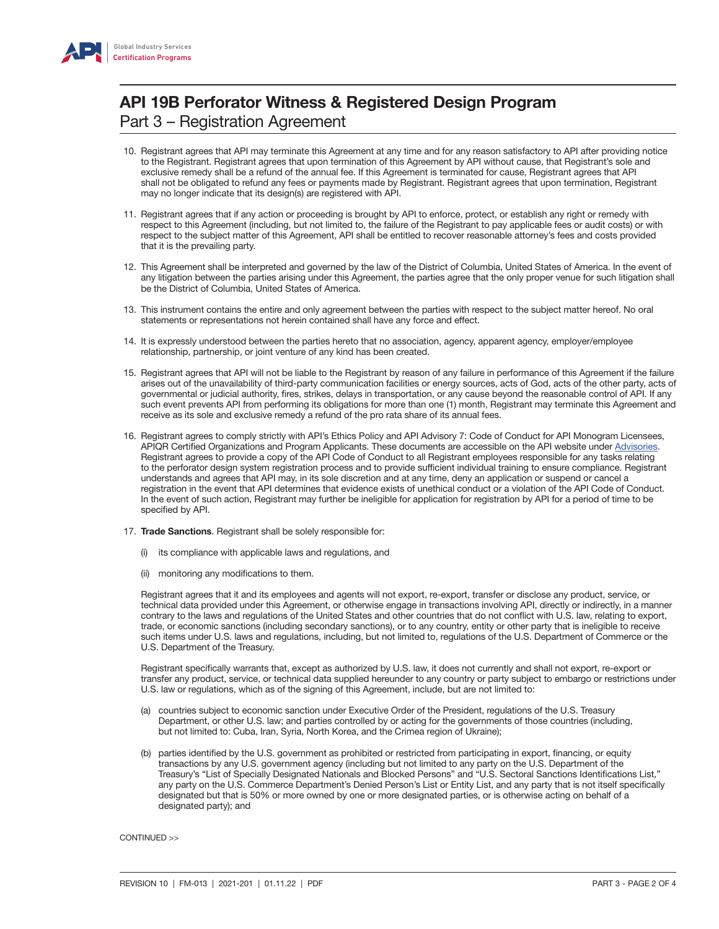

- 10. Registrant agrees that API may terminate this Agreement at any time and for any reason satisfactory to API after providing notice to the Registrant. Registrant agrees that upon termination of this Agreement by API without cause, that Registrant's sole and exclusive remedy shall be a refund of the annual fee. If this Agreement is terminated for cause, Registrant agrees that API shall not be obligated to refund any fees or payments made by Registrant. Registrant agrees that upon termination, Registrant may no longer indicate that its design(s) are registered with API.
- 11. Registrant agrees that if any action or proceeding is brought by API to enforce, protect, or establish any right or remedy with respect to this Agreement (including, but not limited to, the failure of the Registrant to pay applicable fees or audit costs) or with respect to the subject matter of this Agreement, API shall be entitled to recover reasonable attorney's fees and costs provided that it is the prevailing party.
- 12. This Agreement shall be interpreted and governed by the law of the District of Columbia, United States of America. In the event of any litigation between the parties arising under this Agreement, the parties agree that the only proper venue for such litigation shall be the District of Columbia, United States of America.
- 13. This instrument contains the entire and only agreement between the parties with respect to the subject matter hereof. No oral statements or representations not herein contained shall have any force and effect.
- 14. It is expressly understood between the parties hereto that no association, agency, apparent agency, employer/employee relationship, partnership, or joint venture of any kind has been created.
- 15. Registrant agrees that API will not be liable to the Registrant by reason of any failure in performance of this Agreement if the failure arises out of the unavailability of third-party communication facilities or energy sources, acts of God, acts of the other party, acts of governmental or judicial authority, fires, strikes, delays in transportation, or any cause beyond the reasonable control of API. If any such event prevents API from performing its obligations for more than one (1) month, Registrant may terminate this Agreement and receive as its sole and exclusive remedy a refund of the pro rata share of its annual fees.
- 16. Registrant agrees to comply strictly with API's Ethics Policy and API Advisory 7: Code of Conduct for API Monogram Licensees, APIQR Certified Organizations and Program Applicants. These documents are accessible on the API website under [Advisories](http://www.api.org/products-and-services/api-monogram-and-apiqr/advisories-updates#tab-advisories). Registrant agrees to provide a copy of the API Code of Conduct to all Registrant employees responsible for any tasks relating to the perforator design system registration process and to provide sufficient individual training to ensure compliance. Registrant understands and agrees that API may, in its sole discretion and at any time, deny an application or suspend or cancel a registration in the event that API determines that evidence exists of unethical conduct or a violation of the API Code of Conduct. In the event of such action, Registrant may further be ineligible for application for registration by API for a period of time to be specified by API.
- 17. Trade Sanctions. Registrant shall be solely responsible for:
	- (i) its compliance with applicable laws and regulations, and
	- (ii) monitoring any modifications to them.

Registrant agrees that it and its employees and agents will not export, re-export, transfer or disclose any product, service, or technical data provided under this Agreement, or otherwise engage in transactions involving API, directly or indirectly, in a manner contrary to the laws and regulations of the United States and other countries that do not conflict with U.S. law, relating to export, trade, or economic sanctions (including secondary sanctions), or to any country, entity or other party that is ineligible to receive such items under U.S. laws and regulations, including, but not limited to, regulations of the U.S. Department of Commerce or the U.S. Department of the Treasury.

Registrant specifically warrants that, except as authorized by U.S. law, it does not currently and shall not export, re-export or transfer any product, service, or technical data supplied hereunder to any country or party subject to embargo or restrictions under U.S. law or regulations, which as of the signing of this Agreement, include, but are not limited to:

- (a) countries subject to economic sanction under Executive Order of the President, regulations of the U.S. Treasury Department, or other U.S. law; and parties controlled by or acting for the governments of those countries (including, but not limited to: Cuba, Iran, Syria, North Korea, and the Crimea region of Ukraine);
- (b) parties identified by the U.S. government as prohibited or restricted from participating in export, financing, or equity transactions by any U.S. government agency (including but not limited to any party on the U.S. Department of the Treasury's "List of Specially Designated Nationals and Blocked Persons" and "U.S. Sectoral Sanctions Identifications List," any party on the U.S. Commerce Department's Denied Person's List or Entity List, and any party that is not itself specifically designated but that is 50% or more owned by one or more designated parties, or is otherwise acting on behalf of a designated party); and

CONTINUED >>

 $\overline{a}$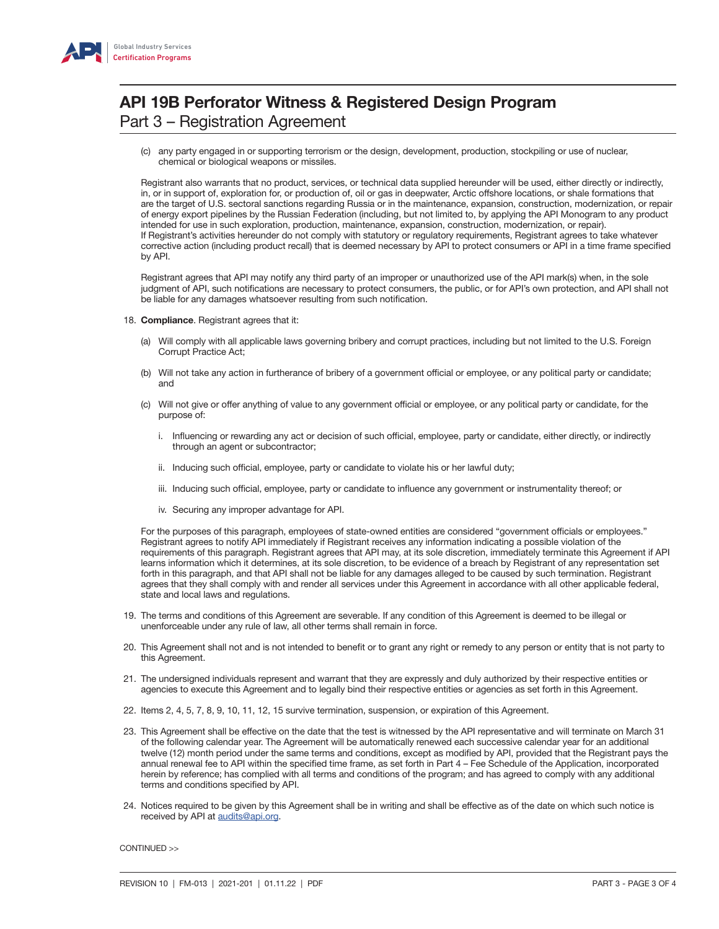

 (c) any party engaged in or supporting terrorism or the design, development, production, stockpiling or use of nuclear, chemical or biological weapons or missiles.

Registrant also warrants that no product, services, or technical data supplied hereunder will be used, either directly or indirectly, in, or in support of, exploration for, or production of, oil or gas in deepwater, Arctic offshore locations, or shale formations that are the target of U.S. sectoral sanctions regarding Russia or in the maintenance, expansion, construction, modernization, or repair of energy export pipelines by the Russian Federation (including, but not limited to, by applying the API Monogram to any product intended for use in such exploration, production, maintenance, expansion, construction, modernization, or repair). If Registrant's activities hereunder do not comply with statutory or regulatory requirements, Registrant agrees to take whatever corrective action (including product recall) that is deemed necessary by API to protect consumers or API in a time frame specified by API.

Registrant agrees that API may notify any third party of an improper or unauthorized use of the API mark(s) when, in the sole judgment of API, such notifications are necessary to protect consumers, the public, or for API's own protection, and API shall not be liable for any damages whatsoever resulting from such notification.

- 18. Compliance. Registrant agrees that it:
	- (a) Will comply with all applicable laws governing bribery and corrupt practices, including but not limited to the U.S. Foreign Corrupt Practice Act;
	- (b) Will not take any action in furtherance of bribery of a government official or employee, or any political party or candidate; and
	- (c) Will not give or offer anything of value to any government official or employee, or any political party or candidate, for the purpose of:
		- i. Influencing or rewarding any act or decision of such official, employee, party or candidate, either directly, or indirectly through an agent or subcontractor;
		- ii. Inducing such official, employee, party or candidate to violate his or her lawful duty;
		- iii. Inducing such official, employee, party or candidate to influence any government or instrumentality thereof; or
		- iv. Securing any improper advantage for API.

For the purposes of this paragraph, employees of state-owned entities are considered "government officials or employees." Registrant agrees to notify API immediately if Registrant receives any information indicating a possible violation of the requirements of this paragraph. Registrant agrees that API may, at its sole discretion, immediately terminate this Agreement if API learns information which it determines, at its sole discretion, to be evidence of a breach by Registrant of any representation set forth in this paragraph, and that API shall not be liable for any damages alleged to be caused by such termination. Registrant agrees that they shall comply with and render all services under this Agreement in accordance with all other applicable federal, state and local laws and regulations.

- 19. The terms and conditions of this Agreement are severable. If any condition of this Agreement is deemed to be illegal or unenforceable under any rule of law, all other terms shall remain in force.
- 20. This Agreement shall not and is not intended to benefit or to grant any right or remedy to any person or entity that is not party to this Agreement.
- 21. The undersigned individuals represent and warrant that they are expressly and duly authorized by their respective entities or agencies to execute this Agreement and to legally bind their respective entities or agencies as set forth in this Agreement.
- 22. Items 2, 4, 5, 7, 8, 9, 10, 11, 12, 15 survive termination, suspension, or expiration of this Agreement.
- 23. This Agreement shall be effective on the date that the test is witnessed by the API representative and will terminate on March 31 of the following calendar year. The Agreement will be automatically renewed each successive calendar year for an additional twelve (12) month period under the same terms and conditions, except as modified by API, provided that the Registrant pays the annual renewal fee to API within the specified time frame, as set forth in Part 4 – Fee Schedule of the Application, incorporated herein by reference; has complied with all terms and conditions of the program; and has agreed to comply with any additional terms and conditions specified by API.
- 24. Notices required to be given by this Agreement shall be in writing and shall be effective as of the date on which such notice is received by API at **[audits@api.org](mailto:audits%40api.org?subject=)**.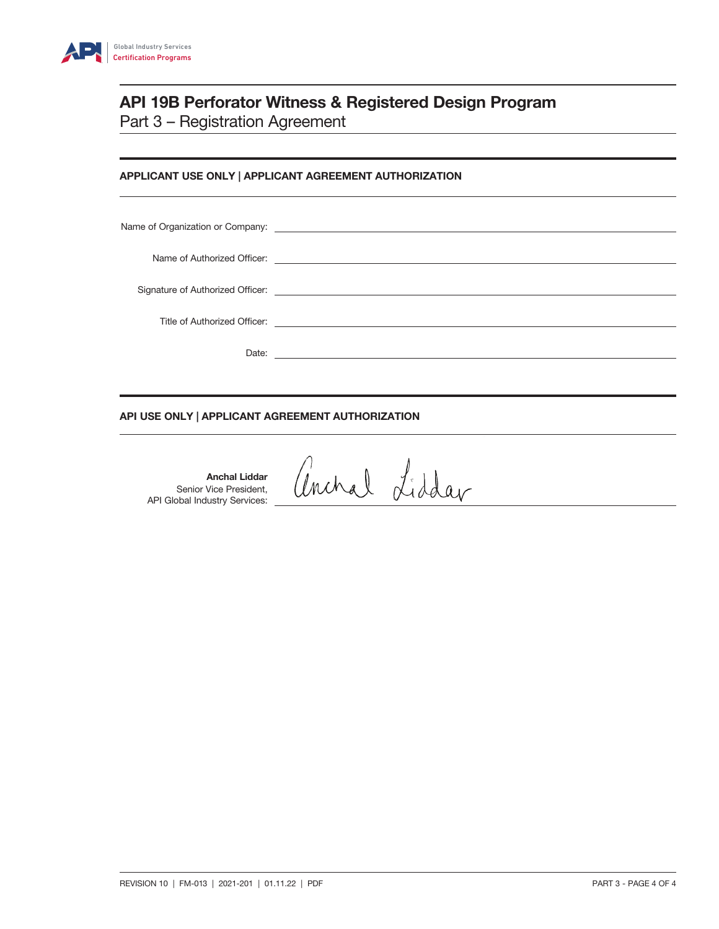

# APPLICANT USE ONLY | APPLICANT AGREEMENT AUTHORIZATION

| Name of Organization or Company: <u>contract the contract of the contract of the contract of the contract of the contract of the contract of the contract of the contract of the contract of the contract of the contract of the</u> |
|--------------------------------------------------------------------------------------------------------------------------------------------------------------------------------------------------------------------------------------|
|                                                                                                                                                                                                                                      |
|                                                                                                                                                                                                                                      |
|                                                                                                                                                                                                                                      |
|                                                                                                                                                                                                                                      |
|                                                                                                                                                                                                                                      |

# API USE ONLY | APPLICANT AGREEMENT AUTHORIZATION

Anchal Liddar Senior Vice President, API Global Industry Services:

anchal Liddar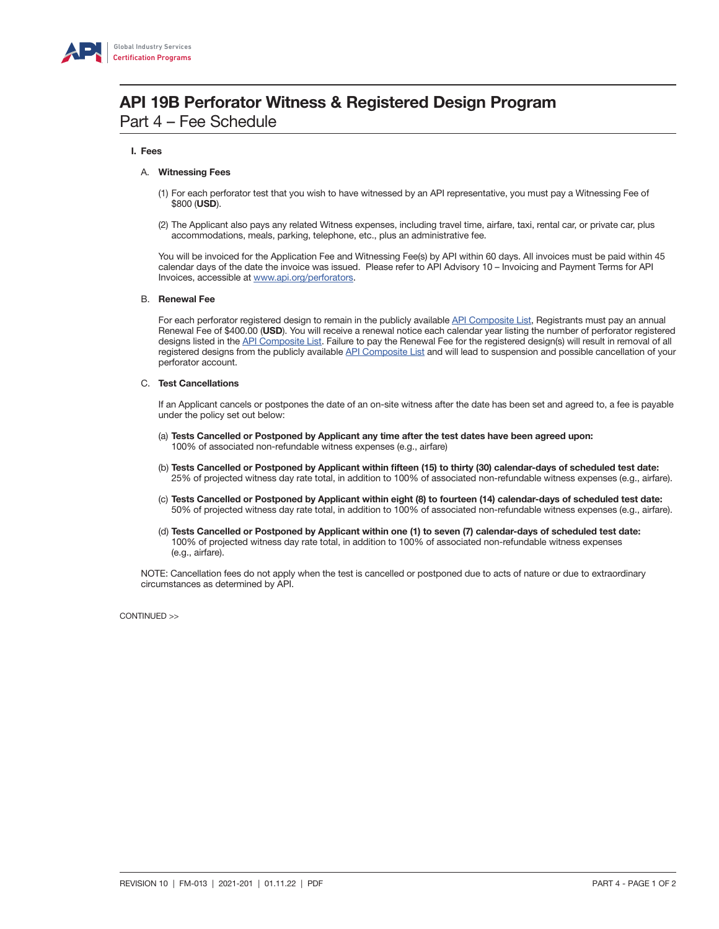

# API 19B Perforator Witness & Registered Design Program Part 4 – Fee Schedule

### I. Fees

### A. Witnessing Fees

- (1) For each perforator test that you wish to have witnessed by an API representative, you must pay a Witnessing Fee of \$800 (USD).
- (2) The Applicant also pays any related Witness expenses, including travel time, airfare, taxi, rental car, or private car, plus accommodations, meals, parking, telephone, etc., plus an administrative fee.

You will be invoiced for the Application Fee and Witnessing Fee(s) by API within 60 days. All invoices must be paid within 45 calendar days of the date the invoice was issued. Please refer to API Advisory 10 – Invoicing and Payment Terms for API Invoices, accessible at [www.api.org/perforators.](http://www.api.org/products-and-services/witnessing-programs/perforators)

### B. Renewal Fee

For each perforator registered design to remain in the publicly available [API Composite List](http://www.api.org/products-and-services/api-monogram-and-apiqr/api-composite-list), Registrants must pay an annual Renewal Fee of \$400.00 (USD). You will receive a renewal notice each calendar year listing the number of perforator registered designs listed in the [API Composite List.](http://www.api.org/products-and-services/api-monogram-and-apiqr/api-composite-list) Failure to pay the Renewal Fee for the registered design(s) will result in removal of all registered designs from the publicly available [API Composite List](http://www.api.org/products-and-services/api-monogram-and-apiqr/api-composite-list) and will lead to suspension and possible cancellation of your perforator account.

### C. Test Cancellations

 If an Applicant cancels or postpones the date of an on-site witness after the date has been set and agreed to, a fee is payable under the policy set out below:

- (a) Tests Cancelled or Postponed by Applicant any time after the test dates have been agreed upon: 100% of associated non-refundable witness expenses (e.g., airfare)
- (b) Tests Cancelled or Postponed by Applicant within fifteen (15) to thirty (30) calendar-days of scheduled test date: 25% of projected witness day rate total, in addition to 100% of associated non-refundable witness expenses (e.g., airfare).
- (c) Tests Cancelled or Postponed by Applicant within eight (8) to fourteen (14) calendar-days of scheduled test date: 50% of projected witness day rate total, in addition to 100% of associated non-refundable witness expenses (e.g., airfare).
- (d) Tests Cancelled or Postponed by Applicant within one (1) to seven (7) calendar-days of scheduled test date: 100% of projected witness day rate total, in addition to 100% of associated non-refundable witness expenses (e.g., airfare).

NOTE: Cancellation fees do not apply when the test is cancelled or postponed due to acts of nature or due to extraordinary circumstances as determined by API.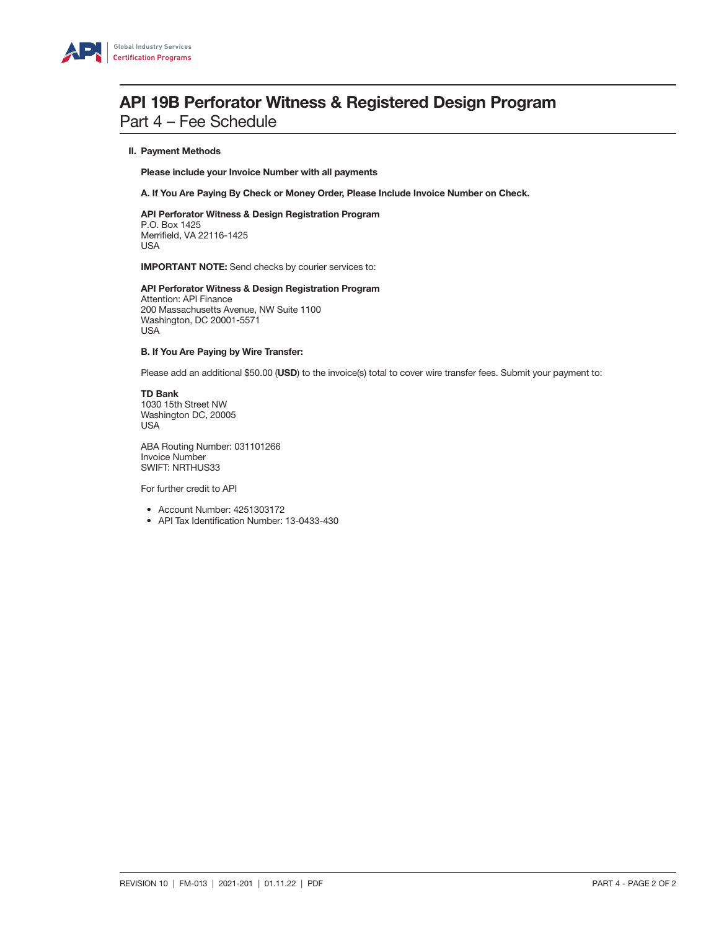

# **API 19B Perforator Witness & Registered Design Program** Part 4 – Fee Schedule

### II. Payment Methods

Please include your Invoice Number with all payments

A. If You Are Paying By Check or Money Order, Please Include Invoice Number on Check.

 API Perforator Witness & Design Registration Program P.O. Box 1425 Merrifield, VA 22116-1425 USA

IMPORTANT NOTE: Send checks by courier services to:

API Perforator Witness & Design Registration Program Attention: API Finance 200 Massachusetts Avenue, NW Suite 1100 Washington, DC 20001-5571 USA

#### B. If You Are Paying by Wire Transfer:

Please add an additional \$50.00 (USD) to the invoice(s) total to cover wire transfer fees. Submit your payment to:

TD Bank 1030 15th Street NW Washington DC, 20005 USA

ABA Routing Number: 031101266 Invoice Number SWIFT: NRTHUS33

For further credit to API

- Account Number: 4251303172
- API Tax Identification Number: 13-0433-430